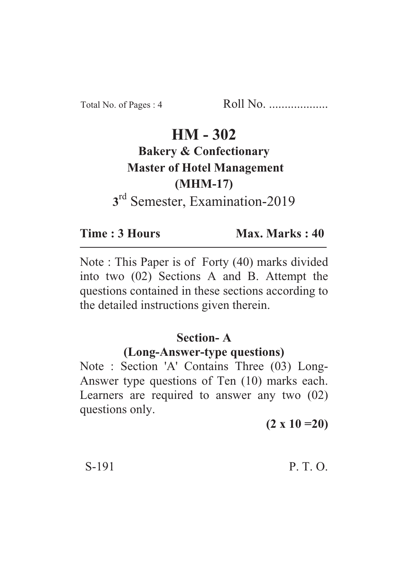# $HM - 302$

#### **Bakery & Confectionary Master of Hotel Management (MHM-17)** (C)<br>M<sup>H</sup>ranin **3** <sup>rd</sup> Semester, Examination-2019

#### Time: 3 Hours **Time : 3 Hours Max. Marks : 40**

Note : This Paper is of Forty (40) marks divided into two (02) Sections A and B. Attempt the questions contained in these sections according to the detailed instructions given therein.

## **Section-A**

## **(Long-Answer-type questions)**

Note : Section 'A' Contains Three (03) Long-Answer type questions of Ten (10) marks each. Learners are required to answer any two (02) questions only.

**(2 x 10 =20)**

S-191 P. T. O.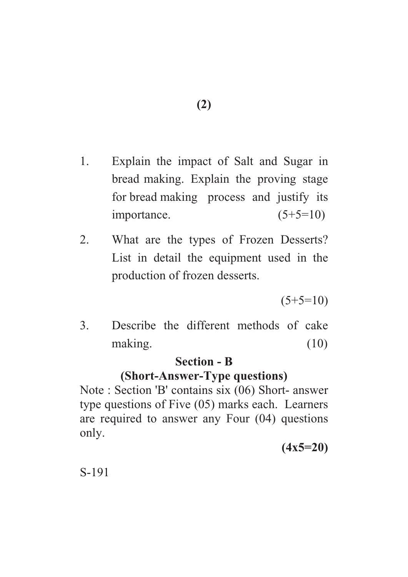- 1. Explain the impact of Salt and Sugar in bread making. Explain the proving stage for bread making process and justify its importance.  $(5+5=10)$
- 2. What are the types of Frozen Desserts? List in detail the equipment used in the production of frozen desserts.

 $(5+5=10)$ 

3. Describe the different methods of cake making. (10)

#### **Section - B**

# **(Short-Answer-Type questions)**

Note : Section 'B' contains six (06) Short- answer type questions of Five (05) marks each. Learners are required to answer any Four (04) questions only.

**(4x5=20)**

S-191